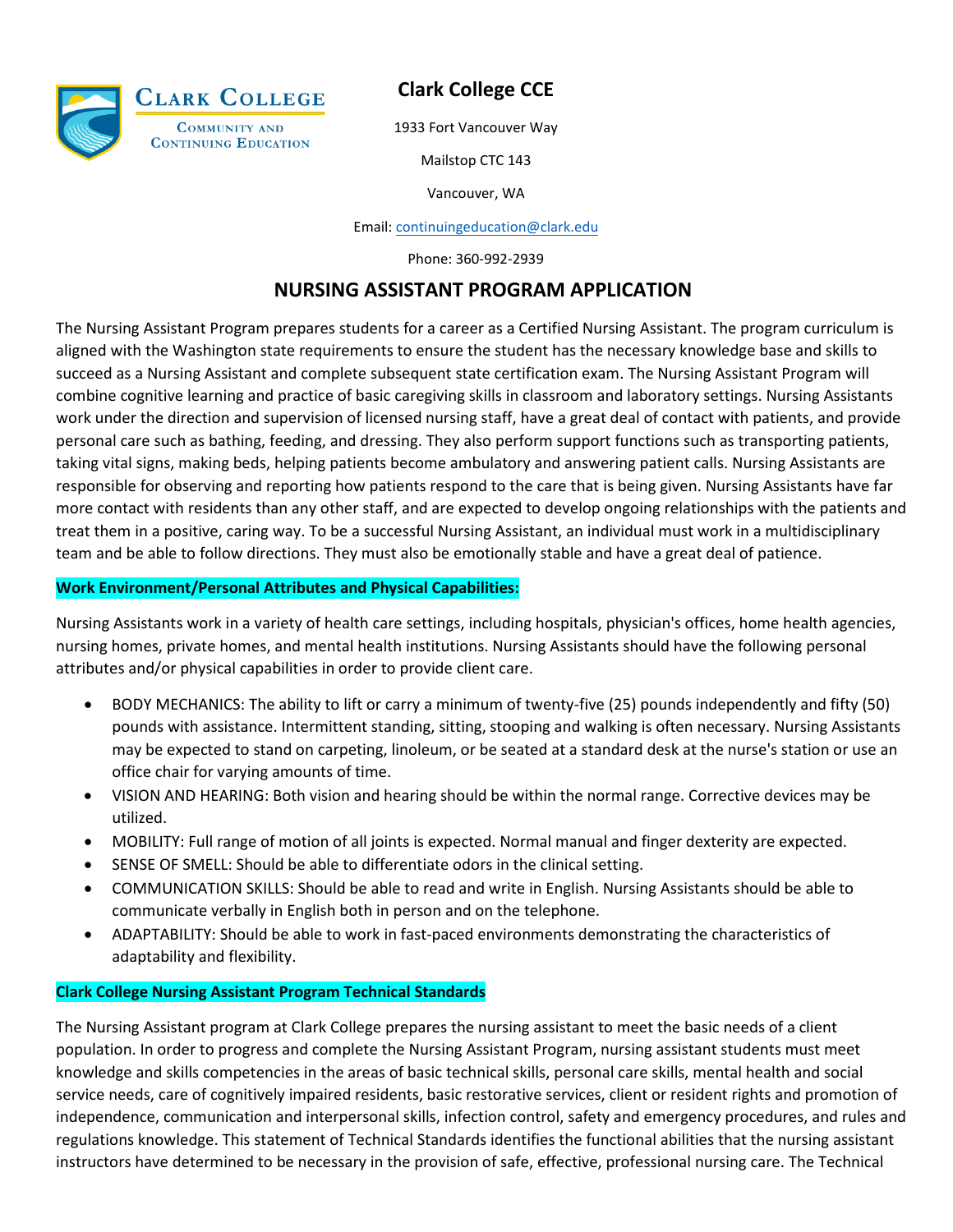

## **Clark College CCE**

1933 Fort Vancouver Way

Mailstop CTC 143

Vancouver, WA

Email: [continuingeducation@clark.edu](mailto:continuingeducation@clark.edu)

Phone: 360-992-2939

### **NURSING ASSISTANT PROGRAM APPLICATION**

The Nursing Assistant Program prepares students for a career as a Certified Nursing Assistant. The program curriculum is aligned with the Washington state requirements to ensure the student has the necessary knowledge base and skills to succeed as a Nursing Assistant and complete subsequent state certification exam. The Nursing Assistant Program will combine cognitive learning and practice of basic caregiving skills in classroom and laboratory settings. Nursing Assistants work under the direction and supervision of licensed nursing staff, have a great deal of contact with patients, and provide personal care such as bathing, feeding, and dressing. They also perform support functions such as transporting patients, taking vital signs, making beds, helping patients become ambulatory and answering patient calls. Nursing Assistants are responsible for observing and reporting how patients respond to the care that is being given. Nursing Assistants have far more contact with residents than any other staff, and are expected to develop ongoing relationships with the patients and treat them in a positive, caring way. To be a successful Nursing Assistant, an individual must work in a multidisciplinary team and be able to follow directions. They must also be emotionally stable and have a great deal of patience.

#### **Work Environment/Personal Attributes and Physical Capabilities:**

Nursing Assistants work in a variety of health care settings, including hospitals, physician's offices, home health agencies, nursing homes, private homes, and mental health institutions. Nursing Assistants should have the following personal attributes and/or physical capabilities in order to provide client care.

- BODY MECHANICS: The ability to lift or carry a minimum of twenty-five (25) pounds independently and fifty (50) pounds with assistance. Intermittent standing, sitting, stooping and walking is often necessary. Nursing Assistants may be expected to stand on carpeting, linoleum, or be seated at a standard desk at the nurse's station or use an office chair for varying amounts of time.
- VISION AND HEARING: Both vision and hearing should be within the normal range. Corrective devices may be utilized.
- MOBILITY: Full range of motion of all joints is expected. Normal manual and finger dexterity are expected.
- SENSE OF SMELL: Should be able to differentiate odors in the clinical setting.
- COMMUNICATION SKILLS: Should be able to read and write in English. Nursing Assistants should be able to communicate verbally in English both in person and on the telephone.
- ADAPTABILITY: Should be able to work in fast-paced environments demonstrating the characteristics of adaptability and flexibility.

#### **Clark College Nursing Assistant Program Technical Standards**

The Nursing Assistant program at Clark College prepares the nursing assistant to meet the basic needs of a client population. In order to progress and complete the Nursing Assistant Program, nursing assistant students must meet knowledge and skills competencies in the areas of basic technical skills, personal care skills, mental health and social service needs, care of cognitively impaired residents, basic restorative services, client or resident rights and promotion of independence, communication and interpersonal skills, infection control, safety and emergency procedures, and rules and regulations knowledge. This statement of Technical Standards identifies the functional abilities that the nursing assistant instructors have determined to be necessary in the provision of safe, effective, professional nursing care. The Technical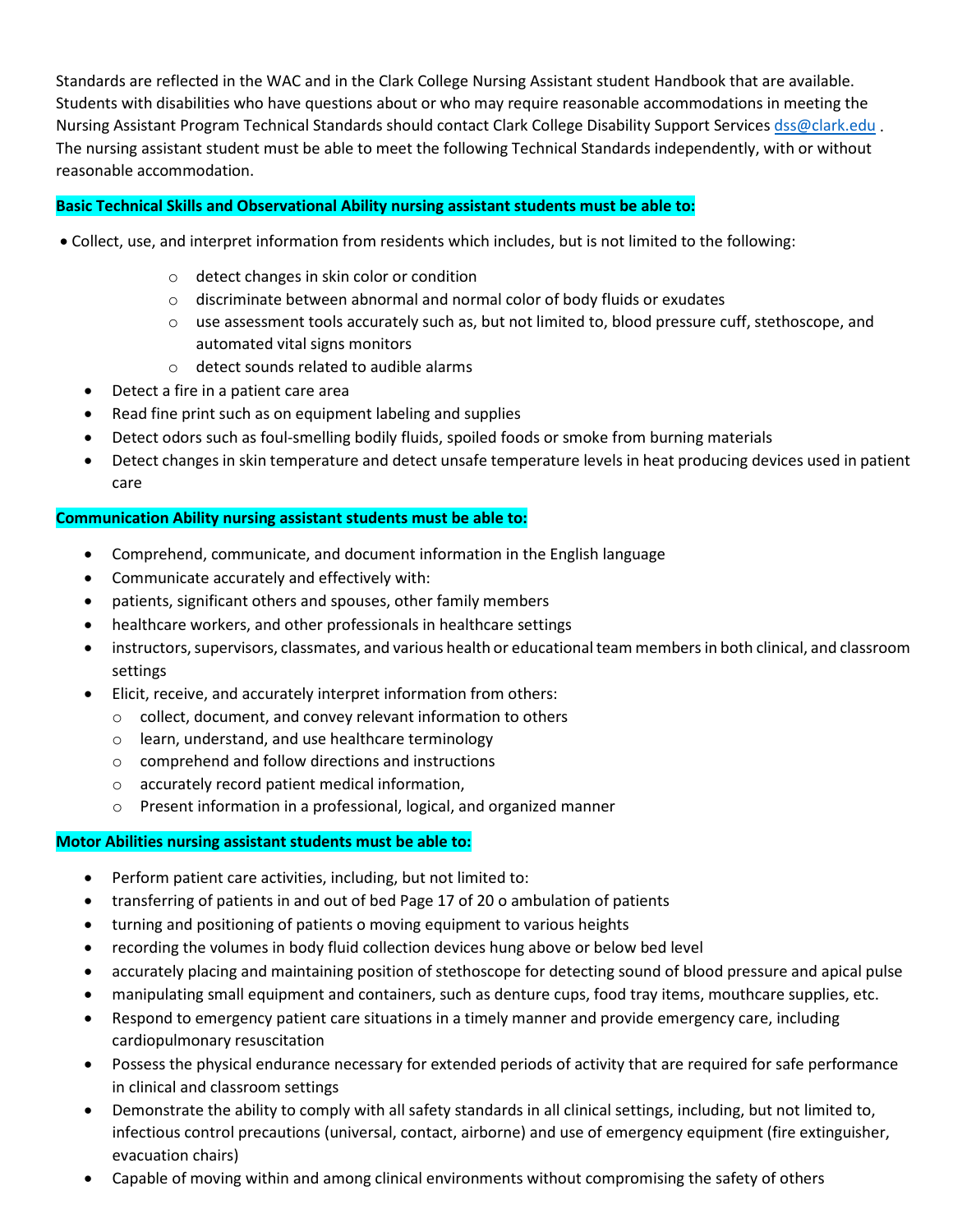Standards are reflected in the WAC and in the Clark College Nursing Assistant student Handbook that are available. Students with disabilities who have questions about or who may require reasonable accommodations in meeting the Nursing Assistant Program Technical Standards should contact Clark College Disability Support Services [dss@clark.edu](mailto:dss@clark.edu) . The nursing assistant student must be able to meet the following Technical Standards independently, with or without reasonable accommodation.

#### **Basic Technical Skills and Observational Ability nursing assistant students must be able to:**

- Collect, use, and interpret information from residents which includes, but is not limited to the following:
	- o detect changes in skin color or condition
	- o discriminate between abnormal and normal color of body fluids or exudates
	- $\circ$  use assessment tools accurately such as, but not limited to, blood pressure cuff, stethoscope, and automated vital signs monitors
	- o detect sounds related to audible alarms
	- Detect a fire in a patient care area
	- Read fine print such as on equipment labeling and supplies
	- Detect odors such as foul-smelling bodily fluids, spoiled foods or smoke from burning materials
	- Detect changes in skin temperature and detect unsafe temperature levels in heat producing devices used in patient care

#### **Communication Ability nursing assistant students must be able to:**

- Comprehend, communicate, and document information in the English language
- Communicate accurately and effectively with:
- patients, significant others and spouses, other family members
- healthcare workers, and other professionals in healthcare settings
- instructors, supervisors, classmates, and various health or educational team members in both clinical, and classroom settings
- Elicit, receive, and accurately interpret information from others:
	- o collect, document, and convey relevant information to others
	- o learn, understand, and use healthcare terminology
	- o comprehend and follow directions and instructions
	- o accurately record patient medical information,
	- o Present information in a professional, logical, and organized manner

#### **Motor Abilities nursing assistant students must be able to:**

- Perform patient care activities, including, but not limited to:
- transferring of patients in and out of bed Page 17 of 20 o ambulation of patients
- turning and positioning of patients o moving equipment to various heights
- recording the volumes in body fluid collection devices hung above or below bed level
- accurately placing and maintaining position of stethoscope for detecting sound of blood pressure and apical pulse
- manipulating small equipment and containers, such as denture cups, food tray items, mouthcare supplies, etc.
- Respond to emergency patient care situations in a timely manner and provide emergency care, including cardiopulmonary resuscitation
- Possess the physical endurance necessary for extended periods of activity that are required for safe performance in clinical and classroom settings
- Demonstrate the ability to comply with all safety standards in all clinical settings, including, but not limited to, infectious control precautions (universal, contact, airborne) and use of emergency equipment (fire extinguisher, evacuation chairs)
- Capable of moving within and among clinical environments without compromising the safety of others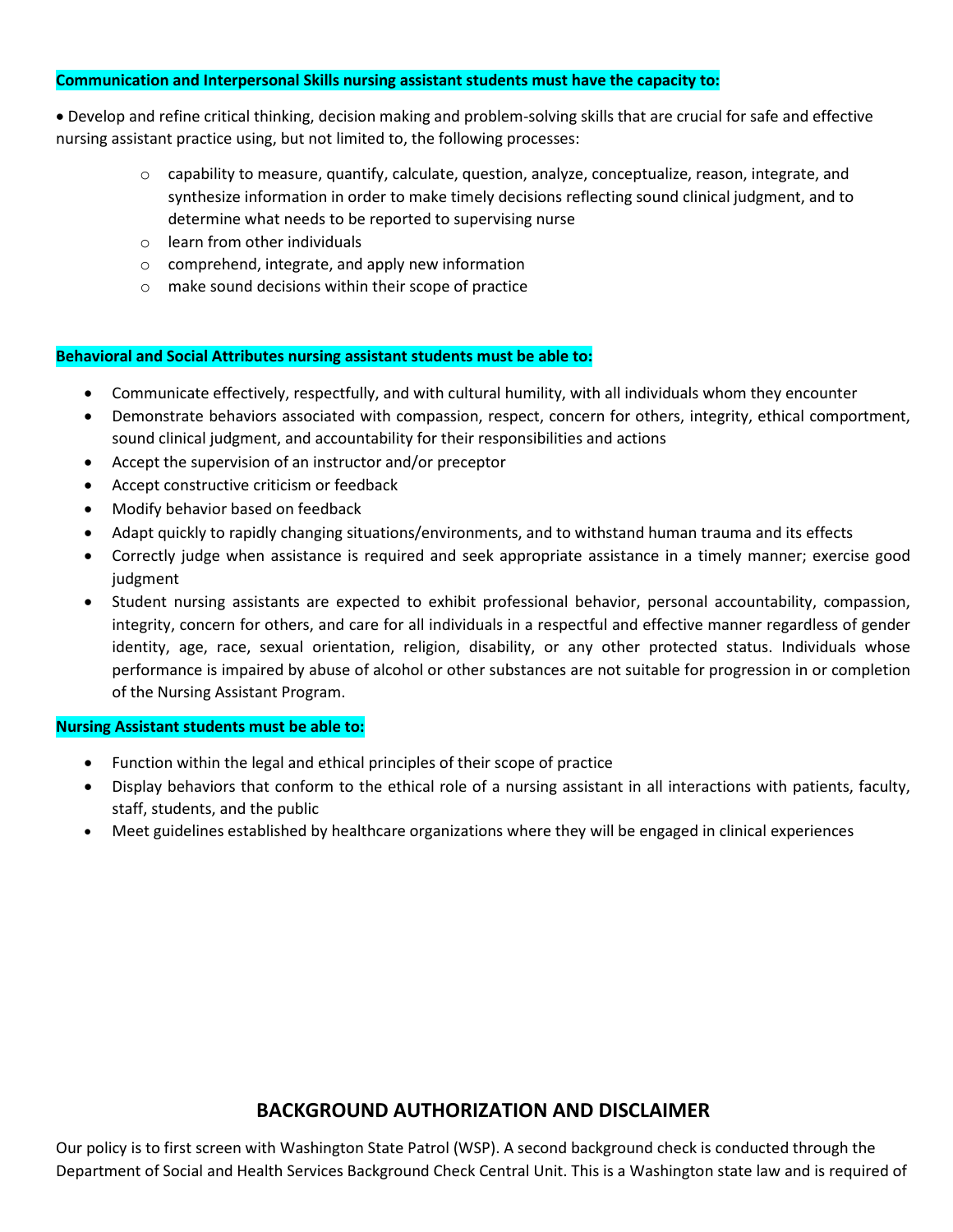#### **Communication and Interpersonal Skills nursing assistant students must have the capacity to:**

• Develop and refine critical thinking, decision making and problem-solving skills that are crucial for safe and effective nursing assistant practice using, but not limited to, the following processes:

- $\circ$  capability to measure, quantify, calculate, question, analyze, conceptualize, reason, integrate, and synthesize information in order to make timely decisions reflecting sound clinical judgment, and to determine what needs to be reported to supervising nurse
- o learn from other individuals
- o comprehend, integrate, and apply new information
- o make sound decisions within their scope of practice

#### **Behavioral and Social Attributes nursing assistant students must be able to:**

- Communicate effectively, respectfully, and with cultural humility, with all individuals whom they encounter
- Demonstrate behaviors associated with compassion, respect, concern for others, integrity, ethical comportment, sound clinical judgment, and accountability for their responsibilities and actions
- Accept the supervision of an instructor and/or preceptor
- Accept constructive criticism or feedback
- Modify behavior based on feedback
- Adapt quickly to rapidly changing situations/environments, and to withstand human trauma and its effects
- Correctly judge when assistance is required and seek appropriate assistance in a timely manner; exercise good judgment
- Student nursing assistants are expected to exhibit professional behavior, personal accountability, compassion, integrity, concern for others, and care for all individuals in a respectful and effective manner regardless of gender identity, age, race, sexual orientation, religion, disability, or any other protected status. Individuals whose performance is impaired by abuse of alcohol or other substances are not suitable for progression in or completion of the Nursing Assistant Program.

#### **Nursing Assistant students must be able to:**

- Function within the legal and ethical principles of their scope of practice
- Display behaviors that conform to the ethical role of a nursing assistant in all interactions with patients, faculty, staff, students, and the public
- Meet guidelines established by healthcare organizations where they will be engaged in clinical experiences

#### **BACKGROUND AUTHORIZATION AND DISCLAIMER**

Our policy is to first screen with Washington State Patrol (WSP). A second background check is conducted through the Department of Social and Health Services Background Check Central Unit. This is a Washington state law and is required of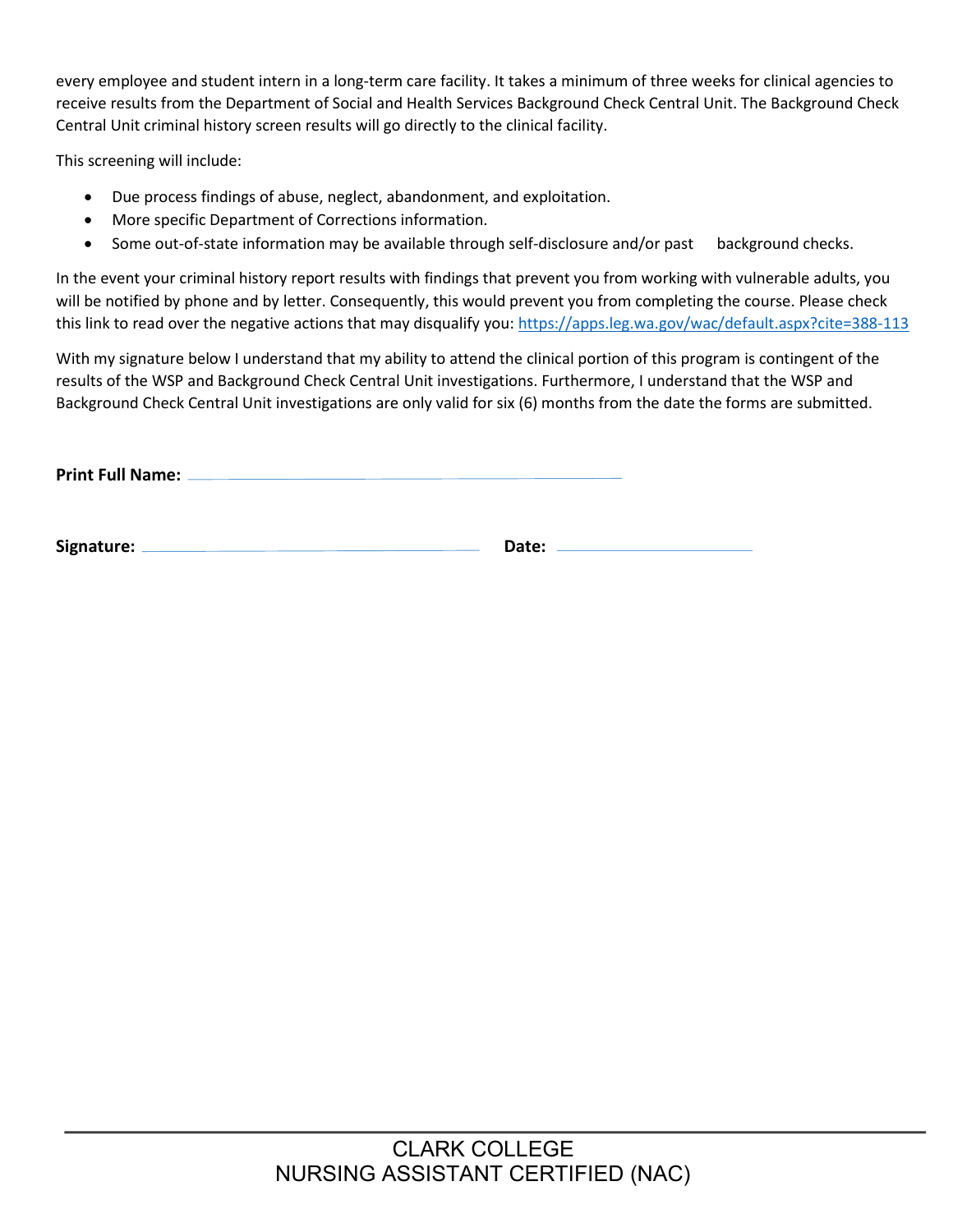every employee and student intern in a long-term care facility. It takes a minimum of three weeks for clinical agencies to receive results from the Department of Social and Health Services Background Check Central Unit. The Background Check Central Unit criminal history screen results will go directly to the clinical facility.

This screening will include:

- Due process findings of abuse, neglect, abandonment, and exploitation.
- More specific Department of Corrections information.
- Some out-of-state information may be available through self-disclosure and/or past background checks.

In the event your criminal history report results with findings that prevent you from working with vulnerable adults, you will be notified by phone and by letter. Consequently, this would prevent you from completing the course. Please check this link to read over the negative actions that may disqualify you:<https://apps.leg.wa.gov/wac/default.aspx?cite=388-113>

With my signature below I understand that my ability to attend the clinical portion of this program is contingent of the results of the WSP and Background Check Central Unit investigations. Furthermore, I understand that the WSP and Background Check Central Unit investigations are only valid for six (6) months from the date the forms are submitted.

**Print Full Name:** 

**Signature: Date:**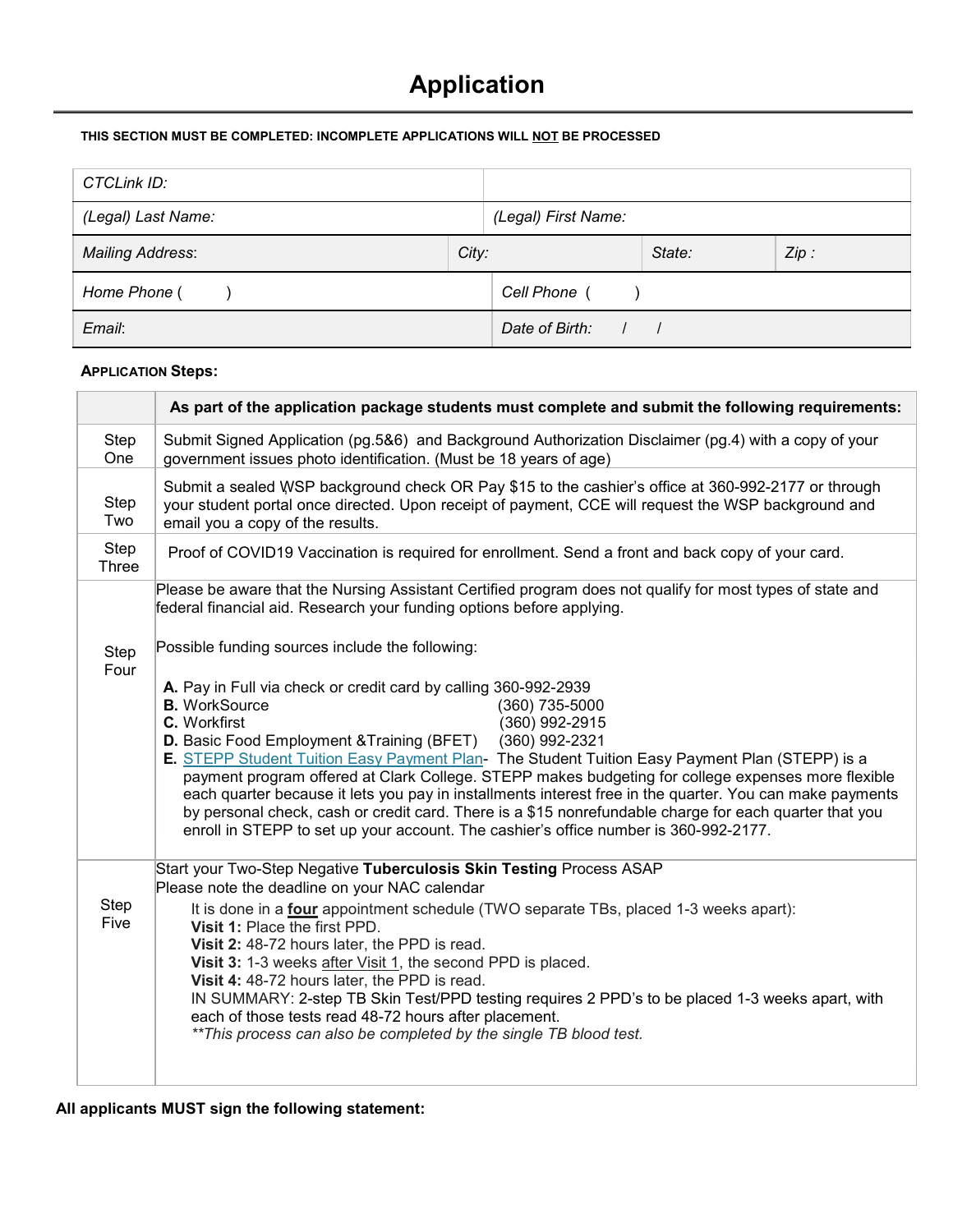# **Application**

#### **THIS SECTION MUST BE COMPLETED: INCOMPLETE APPLICATIONS WILL NOT BE PROCESSED**

| CTCLink ID:             |       |                     |        |      |
|-------------------------|-------|---------------------|--------|------|
| (Legal) Last Name:      |       | (Legal) First Name: |        |      |
| <b>Mailing Address:</b> | City: |                     | State: | Zip: |
| Home Phone (            |       | Cell Phone (        |        |      |
| Email:                  |       | Date of Birth:      |        |      |

#### **APPLICATION Steps:**

|               | As part of the application package students must complete and submit the following requirements:                                                                                                                                                                                                                                                                                                                                                                                                                                                                                                                                                                                                                                         |
|---------------|------------------------------------------------------------------------------------------------------------------------------------------------------------------------------------------------------------------------------------------------------------------------------------------------------------------------------------------------------------------------------------------------------------------------------------------------------------------------------------------------------------------------------------------------------------------------------------------------------------------------------------------------------------------------------------------------------------------------------------------|
| Step<br>One   | Submit Signed Application (pg.5&6) and Background Authorization Disclaimer (pg.4) with a copy of your<br>government issues photo identification. (Must be 18 years of age)                                                                                                                                                                                                                                                                                                                                                                                                                                                                                                                                                               |
| Step<br>Two   | Submit a sealed WSP background check OR Pay \$15 to the cashier's office at 360-992-2177 or through<br>your student portal once directed. Upon receipt of payment, CCE will request the WSP background and<br>email you a copy of the results.                                                                                                                                                                                                                                                                                                                                                                                                                                                                                           |
| Step<br>Three | Proof of COVID19 Vaccination is required for enrollment. Send a front and back copy of your card.                                                                                                                                                                                                                                                                                                                                                                                                                                                                                                                                                                                                                                        |
|               | Please be aware that the Nursing Assistant Certified program does not qualify for most types of state and<br>federal financial aid. Research your funding options before applying.<br>Possible funding sources include the following:                                                                                                                                                                                                                                                                                                                                                                                                                                                                                                    |
| Step<br>Four  |                                                                                                                                                                                                                                                                                                                                                                                                                                                                                                                                                                                                                                                                                                                                          |
|               | A. Pay in Full via check or credit card by calling 360-992-2939<br>(360) 735-5000<br><b>B.</b> WorkSource<br>C. Workfirst<br>(360) 992-2915<br><b>D.</b> Basic Food Employment & Training (BFET)<br>(360) 992-2321<br>E. STEPP Student Tuition Easy Payment Plan- The Student Tuition Easy Payment Plan (STEPP) is a<br>payment program offered at Clark College. STEPP makes budgeting for college expenses more flexible<br>each quarter because it lets you pay in installments interest free in the quarter. You can make payments<br>by personal check, cash or credit card. There is a \$15 nonrefundable charge for each quarter that you<br>enroll in STEPP to set up your account. The cashier's office number is 360-992-2177. |
|               | Start your Two-Step Negative Tuberculosis Skin Testing Process ASAP                                                                                                                                                                                                                                                                                                                                                                                                                                                                                                                                                                                                                                                                      |
| Step<br>Five  | Please note the deadline on your NAC calendar<br>It is done in a <b>four</b> appointment schedule (TWO separate TBs, placed 1-3 weeks apart):<br>Visit 1: Place the first PPD.<br>Visit 2: 48-72 hours later, the PPD is read.<br>Visit 3: 1-3 weeks after Visit 1, the second PPD is placed.<br>Visit 4: 48-72 hours later, the PPD is read.<br>IN SUMMARY: 2-step TB Skin Test/PPD testing requires 2 PPD's to be placed 1-3 weeks apart, with<br>each of those tests read 48-72 hours after placement.<br>** This process can also be completed by the single TB blood test.                                                                                                                                                          |
|               |                                                                                                                                                                                                                                                                                                                                                                                                                                                                                                                                                                                                                                                                                                                                          |

**All applicants MUST sign the following statement:**